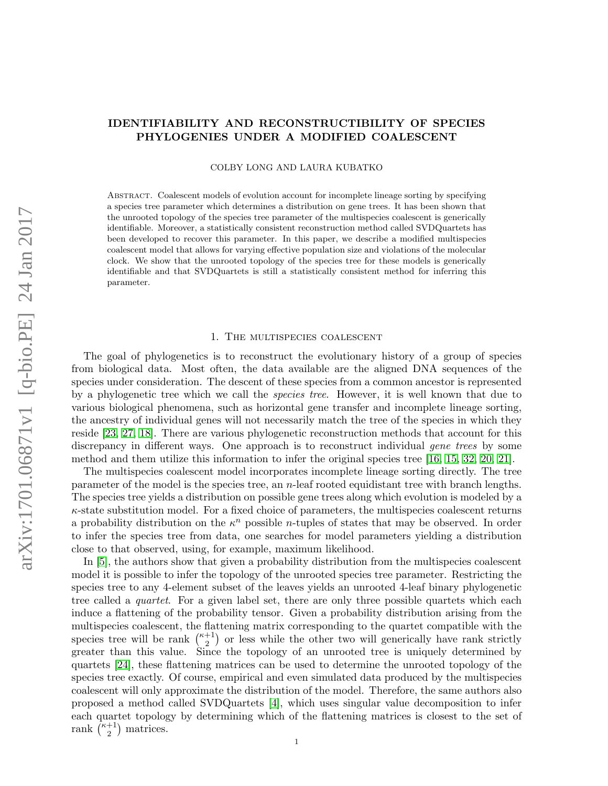# IDENTIFIABILITY AND RECONSTRUCTIBILITY OF SPECIES PHYLOGENIES UNDER A MODIFIED COALESCENT

COLBY LONG AND LAURA KUBATKO

Abstract. Coalescent models of evolution account for incomplete lineage sorting by specifying a species tree parameter which determines a distribution on gene trees. It has been shown that the unrooted topology of the species tree parameter of the multispecies coalescent is generically identifiable. Moreover, a statistically consistent reconstruction method called SVDQuartets has been developed to recover this parameter. In this paper, we describe a modified multispecies coalescent model that allows for varying effective population size and violations of the molecular clock. We show that the unrooted topology of the species tree for these models is generically identifiable and that SVDQuartets is still a statistically consistent method for inferring this parameter.

### 1. The multispecies coalescent

The goal of phylogenetics is to reconstruct the evolutionary history of a group of species from biological data. Most often, the data available are the aligned DNA sequences of the species under consideration. The descent of these species from a common ancestor is represented by a phylogenetic tree which we call the species tree. However, it is well known that due to various biological phenomena, such as horizontal gene transfer and incomplete lineage sorting, the ancestry of individual genes will not necessarily match the tree of the species in which they reside [\[23,](#page-17-0) [27,](#page-17-1) [18\]](#page-17-2). There are various phylogenetic reconstruction methods that account for this discrepancy in different ways. One approach is to reconstruct individual *gene trees* by some method and them utilize this information to infer the original species tree [\[16,](#page-17-3) [15,](#page-17-4) [32,](#page-17-5) [20,](#page-17-6) [21\]](#page-17-7).

The multispecies coalescent model incorporates incomplete lineage sorting directly. The tree parameter of the model is the species tree, an  $n$ -leaf rooted equidistant tree with branch lengths. The species tree yields a distribution on possible gene trees along which evolution is modeled by a  $\kappa$ -state substitution model. For a fixed choice of parameters, the multispecies coalescent returns a probability distribution on the  $\kappa^n$  possible *n*-tuples of states that may be observed. In order to infer the species tree from data, one searches for model parameters yielding a distribution close to that observed, using, for example, maximum likelihood.

In [\[5\]](#page-16-0), the authors show that given a probability distribution from the multispecies coalescent model it is possible to infer the topology of the unrooted species tree parameter. Restricting the species tree to any 4-element subset of the leaves yields an unrooted 4-leaf binary phylogenetic tree called a *quartet*. For a given label set, there are only three possible quartets which each induce a flattening of the probability tensor. Given a probability distribution arising from the multispecies coalescent, the flattening matrix corresponding to the quartet compatible with the species tree will be rank  $\binom{\kappa+1}{2}$  $\binom{+1}{2}$  or less while the other two will generically have rank strictly greater than this value. Since the topology of an unrooted tree is uniquely determined by quartets [\[24\]](#page-17-8), these flattening matrices can be used to determine the unrooted topology of the species tree exactly. Of course, empirical and even simulated data produced by the multispecies coalescent will only approximate the distribution of the model. Therefore, the same authors also proposed a method called SVDQuartets [\[4\]](#page-16-1), which uses singular value decomposition to infer each quartet topology by determining which of the flattening matrices is closest to the set of rank  $\bar{K}+1$  $_{2}^{+1}$ ) matrices.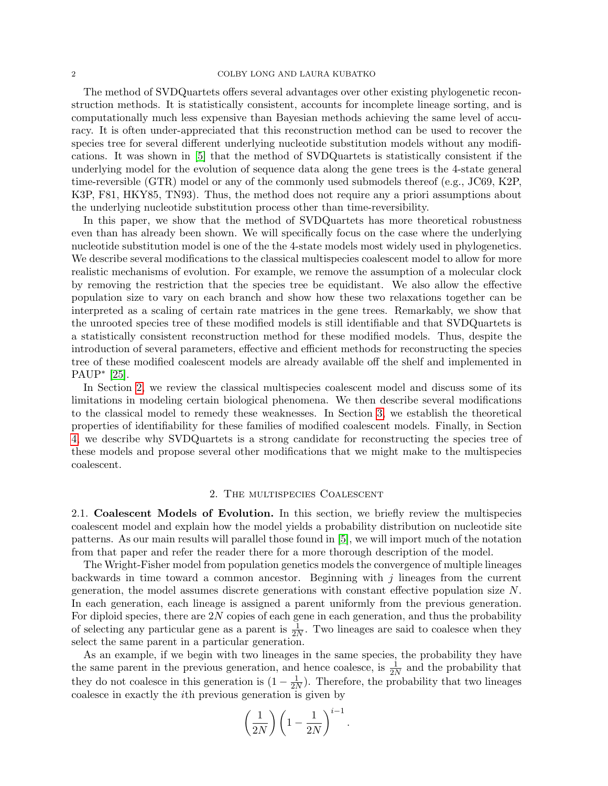### 2 COLBY LONG AND LAURA KUBATKO

The method of SVDQuartets offers several advantages over other existing phylogenetic reconstruction methods. It is statistically consistent, accounts for incomplete lineage sorting, and is computationally much less expensive than Bayesian methods achieving the same level of accuracy. It is often under-appreciated that this reconstruction method can be used to recover the species tree for several different underlying nucleotide substitution models without any modifications. It was shown in [\[5\]](#page-16-0) that the method of SVDQuartets is statistically consistent if the underlying model for the evolution of sequence data along the gene trees is the 4-state general time-reversible (GTR) model or any of the commonly used submodels thereof (e.g., JC69, K2P, K3P, F81, HKY85, TN93). Thus, the method does not require any a priori assumptions about the underlying nucleotide substitution process other than time-reversibility.

In this paper, we show that the method of SVDQuartets has more theoretical robustness even than has already been shown. We will specifically focus on the case where the underlying nucleotide substitution model is one of the the 4-state models most widely used in phylogenetics. We describe several modifications to the classical multispecies coalescent model to allow for more realistic mechanisms of evolution. For example, we remove the assumption of a molecular clock by removing the restriction that the species tree be equidistant. We also allow the effective population size to vary on each branch and show how these two relaxations together can be interpreted as a scaling of certain rate matrices in the gene trees. Remarkably, we show that the unrooted species tree of these modified models is still identifiable and that SVDQuartets is a statistically consistent reconstruction method for these modified models. Thus, despite the introduction of several parameters, effective and efficient methods for reconstructing the species tree of these modified coalescent models are already available off the shelf and implemented in PAUP<sup>∗</sup> [\[25\]](#page-17-9).

In Section [2,](#page-1-0) we review the classical multispecies coalescent model and discuss some of its limitations in modeling certain biological phenomena. We then describe several modifications to the classical model to remedy these weaknesses. In Section [3,](#page-6-0) we establish the theoretical properties of identifiability for these families of modified coalescent models. Finally, in Section [4,](#page-15-0) we describe why SVDQuartets is a strong candidate for reconstructing the species tree of these models and propose several other modifications that we might make to the multispecies coalescent.

### 2. The multispecies Coalescent

<span id="page-1-0"></span>2.1. Coalescent Models of Evolution. In this section, we briefly review the multispecies coalescent model and explain how the model yields a probability distribution on nucleotide site patterns. As our main results will parallel those found in [\[5\]](#page-16-0), we will import much of the notation from that paper and refer the reader there for a more thorough description of the model.

The Wright-Fisher model from population genetics models the convergence of multiple lineages backwards in time toward a common ancestor. Beginning with  $j$  lineages from the current generation, the model assumes discrete generations with constant effective population size N. In each generation, each lineage is assigned a parent uniformly from the previous generation. For diploid species, there are  $2N$  copies of each gene in each generation, and thus the probability of selecting any particular gene as a parent is  $\frac{1}{2N}$ . Two lineages are said to coalesce when they select the same parent in a particular generation.

As an example, if we begin with two lineages in the same species, the probability they have the same parent in the previous generation, and hence coalesce, is  $\frac{1}{2N}$  and the probability that they do not coalesce in this generation is  $(1 - \frac{1}{2})$  $\frac{1}{2N}$ ). Therefore, the probability that two lineages coalesce in exactly the ith previous generation is given by

$$
\left(\frac{1}{2N}\right)\left(1-\frac{1}{2N}\right)^{i-1}.
$$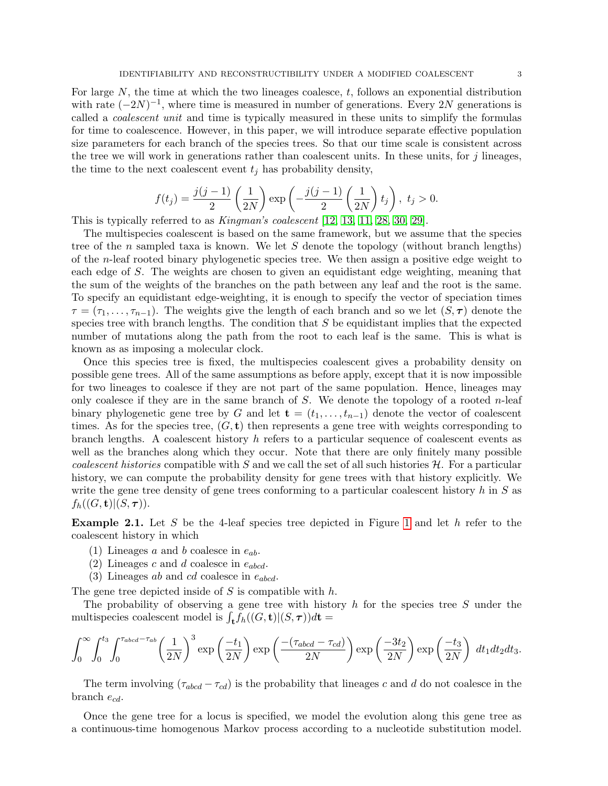For large  $N$ , the time at which the two lineages coalesce,  $t$ , follows an exponential distribution with rate  $(-2N)^{-1}$ , where time is measured in number of generations. Every 2N generations is called a coalescent unit and time is typically measured in these units to simplify the formulas for time to coalescence. However, in this paper, we will introduce separate effective population size parameters for each branch of the species trees. So that our time scale is consistent across the tree we will work in generations rather than coalescent units. In these units, for  $j$  lineages, the time to the next coalescent event  $t_j$  has probability density,

$$
f(t_j) = \frac{j(j-1)}{2} \left(\frac{1}{2N}\right) \exp\left(-\frac{j(j-1)}{2} \left(\frac{1}{2N}\right) t_j\right), \ t_j > 0.
$$

This is typically referred to as Kingman's coalescent [\[12,](#page-17-10) [13,](#page-17-11) [11,](#page-17-12) [28,](#page-17-13) [30,](#page-17-14) [29\]](#page-17-15).

The multispecies coalescent is based on the same framework, but we assume that the species tree of the n sampled taxa is known. We let  $S$  denote the topology (without branch lengths) of the *n*-leaf rooted binary phylogenetic species tree. We then assign a positive edge weight to each edge of S. The weights are chosen to given an equidistant edge weighting, meaning that the sum of the weights of the branches on the path between any leaf and the root is the same. To specify an equidistant edge-weighting, it is enough to specify the vector of speciation times  $\tau = (\tau_1, \ldots, \tau_{n-1})$ . The weights give the length of each branch and so we let  $(S, \tau)$  denote the species tree with branch lengths. The condition that  $S$  be equidistant implies that the expected number of mutations along the path from the root to each leaf is the same. This is what is known as as imposing a molecular clock.

Once this species tree is fixed, the multispecies coalescent gives a probability density on possible gene trees. All of the same assumptions as before apply, except that it is now impossible for two lineages to coalesce if they are not part of the same population. Hence, lineages may only coalesce if they are in the same branch of  $S$ . We denote the topology of a rooted n-leaf binary phylogenetic gene tree by G and let  $\mathbf{t} = (t_1, \ldots, t_{n-1})$  denote the vector of coalescent times. As for the species tree,  $(G, t)$  then represents a gene tree with weights corresponding to branch lengths. A coalescent history  $h$  refers to a particular sequence of coalescent events as well as the branches along which they occur. Note that there are only finitely many possible coalescent histories compatible with S and we call the set of all such histories  $H$ . For a particular history, we can compute the probability density for gene trees with that history explicitly. We write the gene tree density of gene trees conforming to a particular coalescent history  $h$  in  $S$  as  $f_h((G, \mathbf{t})|(S, \boldsymbol{\tau})).$ 

**Example 2.1.** Let S be the 4-leaf species tree depicted in Figure [1](#page-3-0) and let  $h$  refer to the coalescent history in which

- (1) Lineages a and b coalesce in  $e_{ab}$ .
- (2) Lineages c and d coalesce in  $e_{abcd}$ .
- (3) Lineages ab and cd coalesce in  $e_{abcd}$ .

The gene tree depicted inside of  $S$  is compatible with  $h$ .

The probability of observing a gene tree with history  $h$  for the species tree  $S$  under the multispecies coalescent model is  $\int_{\bf t} f_h((G, {\bf t})|(S, \tau)) d{\bf t} =$ 

$$
\int_0^\infty \int_0^{t_3} \int_0^{\tau_{abcd}-\tau_{ab}} \left(\frac{1}{2N}\right)^3 \exp\left(\frac{-t_1}{2N}\right) \exp\left(\frac{-(\tau_{abcd}-\tau_{cd})}{2N}\right) \exp\left(\frac{-3t_2}{2N}\right) \exp\left(\frac{-t_3}{2N}\right) dt_1 dt_2 dt_3.
$$

The term involving  $(\tau_{abcd} - \tau_{cd})$  is the probability that lineages c and d do not coalesce in the branch  $e_{cd}$ .

Once the gene tree for a locus is specified, we model the evolution along this gene tree as a continuous-time homogenous Markov process according to a nucleotide substitution model.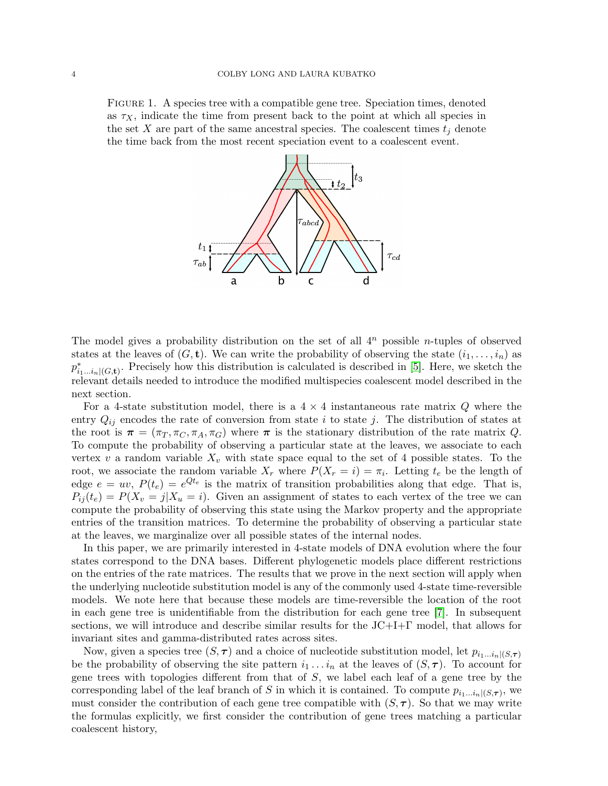<span id="page-3-0"></span>Figure 1. A species tree with a compatible gene tree. Speciation times, denoted as  $\tau_X$ , indicate the time from present back to the point at which all species in the set X are part of the same ancestral species. The coalescent times  $t_j$  denote the time back from the most recent speciation event to a coalescent event.



The model gives a probability distribution on the set of all  $4^n$  possible *n*-tuples of observed states at the leaves of  $(G, t)$ . We can write the probability of observing the state  $(i_1, \ldots, i_n)$  as  $p_{i_1...i_n|(G,\mathbf{t})}^*$ . Precisely how this distribution is calculated is described in [\[5\]](#page-16-0). Here, we sketch the relevant details needed to introduce the modified multispecies coalescent model described in the next section.

For a 4-state substitution model, there is a  $4 \times 4$  instantaneous rate matrix Q where the entry  $Q_{ij}$  encodes the rate of conversion from state i to state j. The distribution of states at the root is  $\pi = (\pi_T, \pi_C, \pi_A, \pi_G)$  where  $\pi$  is the stationary distribution of the rate matrix Q. To compute the probability of observing a particular state at the leaves, we associate to each vertex v a random variable  $X_v$  with state space equal to the set of 4 possible states. To the root, we associate the random variable  $X_r$  where  $P(X_r = i) = \pi_i$ . Letting  $t_e$  be the length of edge  $e = uv$ ,  $P(t_e) = e^{Qt_e}$  is the matrix of transition probabilities along that edge. That is,  $P_{ij}(t_e) = P(X_i = j | X_i = i)$ . Given an assignment of states to each vertex of the tree we can compute the probability of observing this state using the Markov property and the appropriate entries of the transition matrices. To determine the probability of observing a particular state at the leaves, we marginalize over all possible states of the internal nodes.

In this paper, we are primarily interested in 4-state models of DNA evolution where the four states correspond to the DNA bases. Different phylogenetic models place different restrictions on the entries of the rate matrices. The results that we prove in the next section will apply when the underlying nucleotide substitution model is any of the commonly used 4-state time-reversible models. We note here that because these models are time-reversible the location of the root in each gene tree is unidentifiable from the distribution for each gene tree [\[7\]](#page-16-2). In subsequent sections, we will introduce and describe similar results for the JC+I+Γ model, that allows for invariant sites and gamma-distributed rates across sites.

Now, given a species tree  $(S, \tau)$  and a choice of nucleotide substitution model, let  $p_{i_1...i_n|(S,\tau)}$ be the probability of observing the site pattern  $i_1 \ldots i_n$  at the leaves of  $(S, \tau)$ . To account for gene trees with topologies different from that of S, we label each leaf of a gene tree by the corresponding label of the leaf branch of S in which it is contained. To compute  $p_{i_1...i_n|(S,\tau)}$ , we must consider the contribution of each gene tree compatible with  $(S, \tau)$ . So that we may write the formulas explicitly, we first consider the contribution of gene trees matching a particular coalescent history,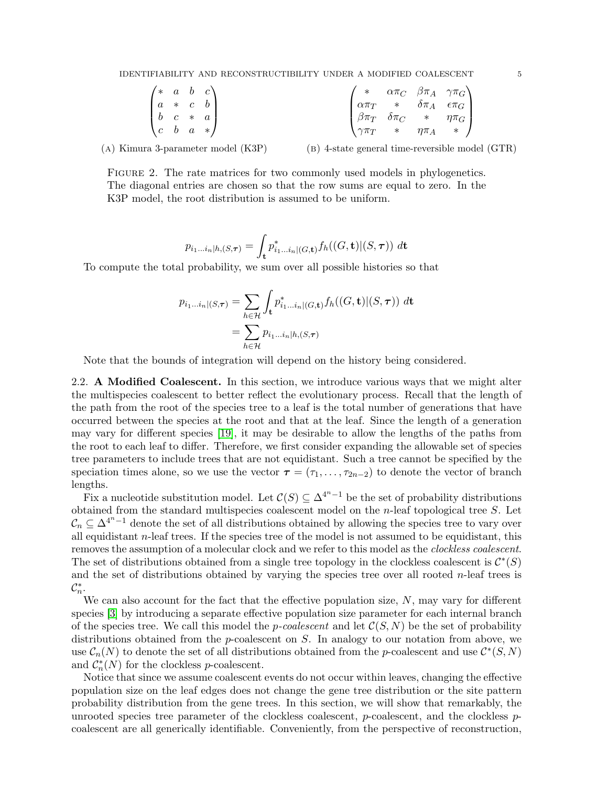<span id="page-4-0"></span>IDENTIFIABILITY AND RECONSTRUCTIBILITY UNDER A MODIFIED COALESCENT 5

| $\begin{pmatrix} * & a & b & c \end{pmatrix}$ |  |  |                         |                                                                                                                                                                                                                           |
|-----------------------------------------------|--|--|-------------------------|---------------------------------------------------------------------------------------------------------------------------------------------------------------------------------------------------------------------------|
| $a * c b$                                     |  |  |                         |                                                                                                                                                                                                                           |
| $\begin{vmatrix} b & c & * & a \end{vmatrix}$ |  |  |                         |                                                                                                                                                                                                                           |
| $\begin{pmatrix} c & b & a & * \end{pmatrix}$ |  |  | $\sqrt{\gamma \pi_T}$ * | $\begin{pmatrix} \ast & \alpha\pi_C & \beta\pi_A & \gamma\pi_G \\ \alpha\pi_T & \ast & \delta\pi_A & \epsilon\pi_G \\ \beta\pi_T & \delta\pi_C & \ast & \eta\pi_G \\ \gamma\pi_T & \ast & \eta\pi_A & \ast \end{pmatrix}$ |

(a) Kimura 3-parameter model (K3P)

(b) 4-state general time-reversible model (GTR)

FIGURE 2. The rate matrices for two commonly used models in phylogenetics. The diagonal entries are chosen so that the row sums are equal to zero. In the K3P model, the root distribution is assumed to be uniform.

$$
p_{i_1\ldots i_n|h,(S,\boldsymbol{\tau})} = \int_{\mathbf{t}} p_{i_1\ldots i_n|(G,\mathbf{t})}^* f_h((G,\mathbf{t})|(S,\boldsymbol{\tau})) \; d\mathbf{t}
$$

To compute the total probability, we sum over all possible histories so that

$$
p_{i_1\ldots i_n|(S,\boldsymbol{\tau})} = \sum_{h\in\mathcal{H}} \int_{\mathbf{t}} p^*_{i_1\ldots i_n|(G,\mathbf{t})} f_h((G,\mathbf{t})|(S,\boldsymbol{\tau})) \, d\mathbf{t}
$$

$$
= \sum_{h\in\mathcal{H}} p_{i_1\ldots i_n|h,(S,\boldsymbol{\tau})}
$$

Note that the bounds of integration will depend on the history being considered.

2.2. A Modified Coalescent. In this section, we introduce various ways that we might alter the multispecies coalescent to better reflect the evolutionary process. Recall that the length of the path from the root of the species tree to a leaf is the total number of generations that have occurred between the species at the root and that at the leaf. Since the length of a generation may vary for different species [\[19\]](#page-17-16), it may be desirable to allow the lengths of the paths from the root to each leaf to differ. Therefore, we first consider expanding the allowable set of species tree parameters to include trees that are not equidistant. Such a tree cannot be specified by the speciation times alone, so we use the vector  $\tau = (\tau_1, \ldots, \tau_{2n-2})$  to denote the vector of branch lengths.

Fix a nucleotide substitution model. Let  $\mathcal{C}(S) \subseteq \Delta^{4^{n}-1}$  be the set of probability distributions obtained from the standard multispecies coalescent model on the  $n$ -leaf topological tree  $S$ . Let  $\mathcal{C}_n \subseteq \Delta^{4^{n}-1}$  denote the set of all distributions obtained by allowing the species tree to vary over all equidistant  $n$ -leaf trees. If the species tree of the model is not assumed to be equidistant, this removes the assumption of a molecular clock and we refer to this model as the clockless coalescent. The set of distributions obtained from a single tree topology in the clockless coalescent is  $\mathcal{C}^*(S)$ and the set of distributions obtained by varying the species tree over all rooted  $n$ -leaf trees is  $\mathcal{C}_n^*$ .

We can also account for the fact that the effective population size,  $N$ , may vary for different species [\[3\]](#page-16-3) by introducing a separate effective population size parameter for each internal branch of the species tree. We call this model the *p*-coalescent and let  $\mathcal{C}(S, N)$  be the set of probability distributions obtained from the p-coalescent on  $S$ . In analogy to our notation from above, we use  $\mathcal{C}_n(N)$  to denote the set of all distributions obtained from the p-coalescent and use  $\mathcal{C}^*(S,N)$ and  $C_n^*(N)$  for the clockless *p*-coalescent.

Notice that since we assume coalescent events do not occur within leaves, changing the effective population size on the leaf edges does not change the gene tree distribution or the site pattern probability distribution from the gene trees. In this section, we will show that remarkably, the unrooted species tree parameter of the clockless coalescent, p-coalescent, and the clockless  $p$ coalescent are all generically identifiable. Conveniently, from the perspective of reconstruction,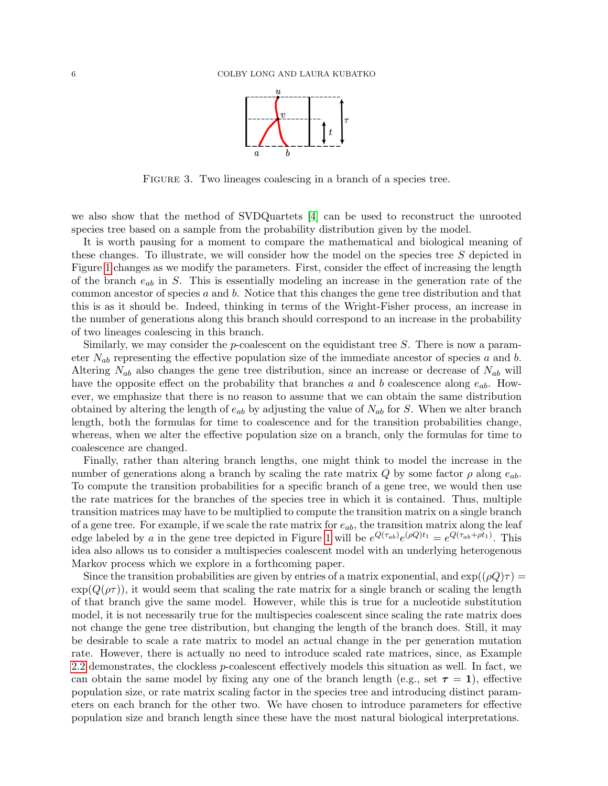

<span id="page-5-0"></span>FIGURE 3. Two lineages coalescing in a branch of a species tree.

we also show that the method of SVDQuartets [\[4\]](#page-16-1) can be used to reconstruct the unrooted species tree based on a sample from the probability distribution given by the model.

It is worth pausing for a moment to compare the mathematical and biological meaning of these changes. To illustrate, we will consider how the model on the species tree S depicted in Figure [1](#page-3-0) changes as we modify the parameters. First, consider the effect of increasing the length of the branch  $e_{ab}$  in S. This is essentially modeling an increase in the generation rate of the common ancestor of species a and b. Notice that this changes the gene tree distribution and that this is as it should be. Indeed, thinking in terms of the Wright-Fisher process, an increase in the number of generations along this branch should correspond to an increase in the probability of two lineages coalescing in this branch.

Similarly, we may consider the *p*-coalescent on the equidistant tree  $S$ . There is now a parameter  $N_{ab}$  representing the effective population size of the immediate ancestor of species a and b. Altering  $N_{ab}$  also changes the gene tree distribution, since an increase or decrease of  $N_{ab}$  will have the opposite effect on the probability that branches a and b coalescence along  $e_{ab}$ . However, we emphasize that there is no reason to assume that we can obtain the same distribution obtained by altering the length of  $e_{ab}$  by adjusting the value of  $N_{ab}$  for S. When we alter branch length, both the formulas for time to coalescence and for the transition probabilities change, whereas, when we alter the effective population size on a branch, only the formulas for time to coalescence are changed.

Finally, rather than altering branch lengths, one might think to model the increase in the number of generations along a branch by scaling the rate matrix Q by some factor  $\rho$  along  $e_{ab}$ . To compute the transition probabilities for a specific branch of a gene tree, we would then use the rate matrices for the branches of the species tree in which it is contained. Thus, multiple transition matrices may have to be multiplied to compute the transition matrix on a single branch of a gene tree. For example, if we scale the rate matrix for  $e_{ab}$ , the transition matrix along the leaf edge labeled by a in the gene tree depicted in Figure [1](#page-3-0) will be  $e^{Q(\tau_{ab})}e^{(\rho Q)t_1} = e^{Q(\tau_{ab} + \rho t_1)}$ . This idea also allows us to consider a multispecies coalescent model with an underlying heterogenous Markov process which we explore in a forthcoming paper.

Since the transition probabilities are given by entries of a matrix exponential, and  $\exp((\rho Q)\tau)$  $\exp(Q(\rho\tau))$ , it would seem that scaling the rate matrix for a single branch or scaling the length of that branch give the same model. However, while this is true for a nucleotide substitution model, it is not necessarily true for the multispecies coalescent since scaling the rate matrix does not change the gene tree distribution, but changing the length of the branch does. Still, it may be desirable to scale a rate matrix to model an actual change in the per generation mutation rate. However, there is actually no need to introduce scaled rate matrices, since, as Example [2.2](#page-6-1) demonstrates, the clockless p-coalescent effectively models this situation as well. In fact, we can obtain the same model by fixing any one of the branch length (e.g., set  $\tau = 1$ ), effective population size, or rate matrix scaling factor in the species tree and introducing distinct parameters on each branch for the other two. We have chosen to introduce parameters for effective population size and branch length since these have the most natural biological interpretations.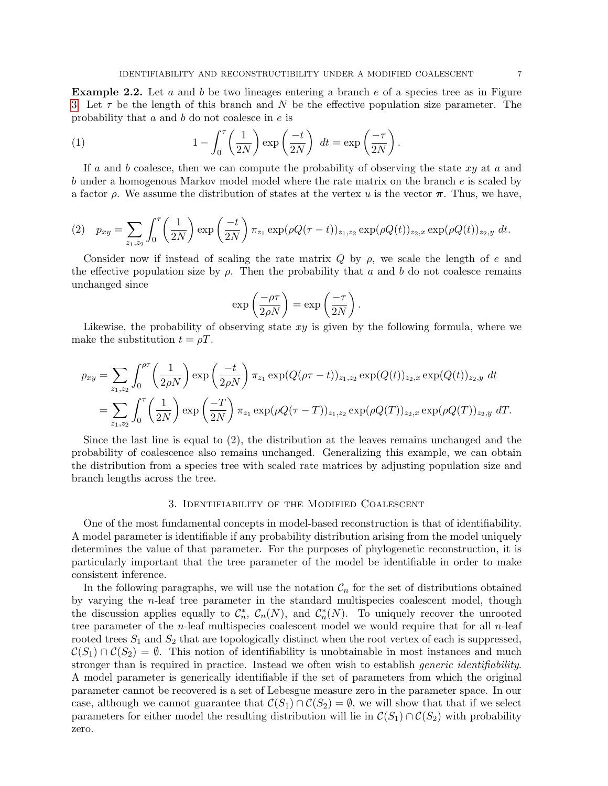<span id="page-6-1"></span>**Example 2.2.** Let  $a$  and  $b$  be two lineages entering a branch  $e$  of a species tree as in Figure [3.](#page-5-0) Let  $\tau$  be the length of this branch and N be the effective population size parameter. The probability that a and b do not coalesce in e is

(1) 
$$
1 - \int_0^{\tau} \left(\frac{1}{2N}\right) \exp\left(\frac{-t}{2N}\right) dt = \exp\left(\frac{-\tau}{2N}\right).
$$

If a and b coalesce, then we can compute the probability of observing the state  $xy$  at a and b under a homogenous Markov model model where the rate matrix on the branch e is scaled by a factor  $\rho$ . We assume the distribution of states at the vertex u is the vector  $\pi$ . Thus, we have,

$$
(2) \quad p_{xy} = \sum_{z_1, z_2} \int_0^{\tau} \left(\frac{1}{2N}\right) \exp\left(\frac{-t}{2N}\right) \pi_{z_1} \exp(\rho Q(\tau - t))_{z_1, z_2} \exp(\rho Q(t))_{z_2, x} \exp(\rho Q(t))_{z_2, y} dt.
$$

Consider now if instead of scaling the rate matrix  $Q$  by  $\rho$ , we scale the length of e and the effective population size by  $\rho$ . Then the probability that a and b do not coalesce remains unchanged since

$$
\exp\left(\frac{-\rho\tau}{2\rho N}\right) = \exp\left(\frac{-\tau}{2N}\right).
$$

Likewise, the probability of observing state  $xy$  is given by the following formula, where we make the substitution  $t = \rho T$ .

$$
p_{xy} = \sum_{z_1, z_2} \int_0^{\rho \tau} \left( \frac{1}{2\rho N} \right) \exp\left( \frac{-t}{2\rho N} \right) \pi_{z_1} \exp(Q(\rho \tau - t))_{z_1, z_2} \exp(Q(t))_{z_2, x} \exp(Q(t))_{z_2, y} dt = \sum_{z_1, z_2} \int_0^{\tau} \left( \frac{1}{2N} \right) \exp\left( \frac{-T}{2N} \right) \pi_{z_1} \exp(\rho Q(\tau - T))_{z_1, z_2} \exp(\rho Q(T))_{z_2, x} \exp(\rho Q(T))_{z_2, y} dT.
$$

Since the last line is equal to (2), the distribution at the leaves remains unchanged and the probability of coalescence also remains unchanged. Generalizing this example, we can obtain the distribution from a species tree with scaled rate matrices by adjusting population size and branch lengths across the tree.

### 3. Identifiability of the Modified Coalescent

<span id="page-6-0"></span>One of the most fundamental concepts in model-based reconstruction is that of identifiability. A model parameter is identifiable if any probability distribution arising from the model uniquely determines the value of that parameter. For the purposes of phylogenetic reconstruction, it is particularly important that the tree parameter of the model be identifiable in order to make consistent inference.

In the following paragraphs, we will use the notation  $\mathcal{C}_n$  for the set of distributions obtained by varying the n-leaf tree parameter in the standard multispecies coalescent model, though the discussion applies equally to  $\mathcal{C}_n^*, \mathcal{C}_n(N)$ , and  $\mathcal{C}_n^*(N)$ . To uniquely recover the unrooted tree parameter of the *n*-leaf multispecies coalescent model we would require that for all *n*-leaf rooted trees  $S_1$  and  $S_2$  that are topologically distinct when the root vertex of each is suppressed,  $\mathcal{C}(S_1) \cap \mathcal{C}(S_2) = \emptyset$ . This notion of identifiability is unobtainable in most instances and much stronger than is required in practice. Instead we often wish to establish *generic identifiability*. A model parameter is generically identifiable if the set of parameters from which the original parameter cannot be recovered is a set of Lebesgue measure zero in the parameter space. In our case, although we cannot guarantee that  $C(S_1) \cap C(S_2) = \emptyset$ , we will show that that if we select parameters for either model the resulting distribution will lie in  $C(S_1) \cap C(S_2)$  with probability zero.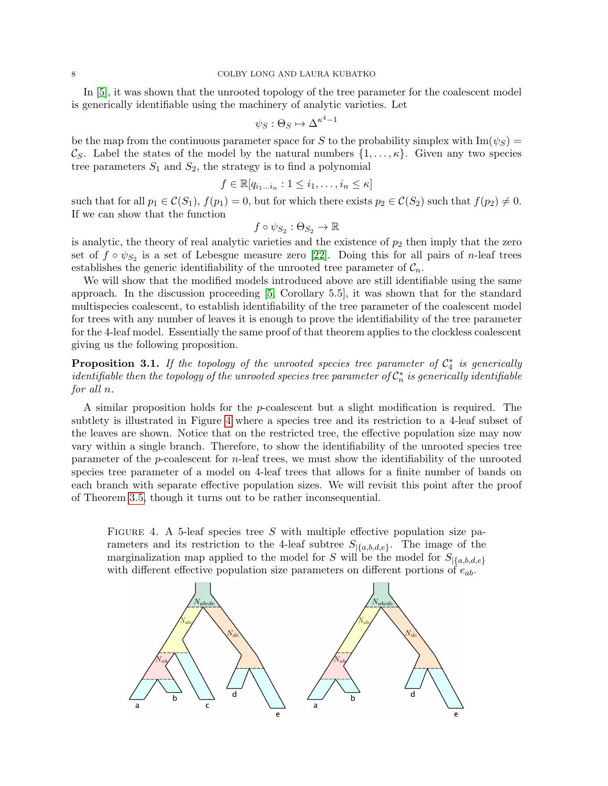In [\[5\]](#page-16-0), it was shown that the unrooted topology of the tree parameter for the coalescent model is generically identifiable using the machinery of analytic varieties. Let

$$
\psi_S : \Theta_S \mapsto \Delta^{\kappa^4 - 1}
$$

be the map from the continuous parameter space for S to the probability simplex with  $\text{Im}(\psi_S)$  =  $\mathcal{C}_S$ . Label the states of the model by the natural numbers  $\{1,\ldots,\kappa\}$ . Given any two species tree parameters  $S_1$  and  $S_2$ , the strategy is to find a polynomial

$$
f \in \mathbb{R}[q_{i_1...i_n} : 1 \leq i_1, \ldots, i_n \leq \kappa]
$$

such that for all  $p_1 \in \mathcal{C}(S_1)$ ,  $f(p_1) = 0$ , but for which there exists  $p_2 \in \mathcal{C}(S_2)$  such that  $f(p_2) \neq 0$ . If we can show that the function

$$
f \circ \psi_{S_2} : \Theta_{S_2} \to \mathbb{R}
$$

is analytic, the theory of real analytic varieties and the existence of  $p_2$  then imply that the zero set of  $f \circ \psi_{S_2}$  is a set of Lebesgue measure zero [\[22\]](#page-17-17). Doing this for all pairs of *n*-leaf trees establishes the generic identifiability of the unrooted tree parameter of  $C_n$ .

We will show that the modified models introduced above are still identifiable using the same approach. In the discussion proceeding [\[5,](#page-16-0) Corollary 5.5], it was shown that for the standard multispecies coalescent, to establish identifiability of the tree parameter of the coalescent model for trees with any number of leaves it is enough to prove the identifiability of the tree parameter for the 4-leaf model. Essentially the same proof of that theorem applies to the clockless coalescent giving us the following proposition.

<span id="page-7-1"></span>**Proposition 3.1.** If the topology of the unrooted species tree parameter of  $C_4^*$  is generically  $\vec{a}$  is generically identifiable then the topology of the unrooted species tree parameter of  $\mathcal{C}_n^*$  is generically identifiable for all n.

A similar proposition holds for the p-coalescent but a slight modification is required. The subtlety is illustrated in Figure [4](#page-7-0) where a species tree and its restriction to a 4-leaf subset of the leaves are shown. Notice that on the restricted tree, the effective population size may now vary within a single branch. Therefore, to show the identifiability of the unrooted species tree parameter of the  $p$ -coalescent for  $n$ -leaf trees, we must show the identifiability of the unrooted species tree parameter of a model on 4-leaf trees that allows for a finite number of bands on each branch with separate effective population sizes. We will revisit this point after the proof of Theorem [3.5,](#page-11-0) though it turns out to be rather inconsequential.

<span id="page-7-0"></span>FIGURE 4. A 5-leaf species tree S with multiple effective population size parameters and its restriction to the 4-leaf subtree  $S_{|\{a,b,d,e\}}$ . The image of the marginalization map applied to the model for S will be the model for  $S_{\{a,b,d,e\}}$ with different effective population size parameters on different portions of  $e_{ab}$ .

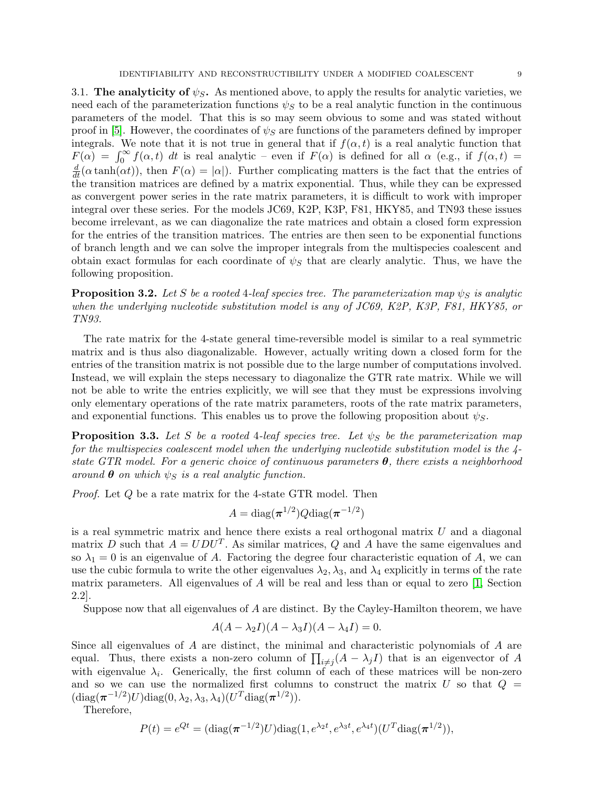<span id="page-8-2"></span>3.1. The analyticity of  $\psi_{\mathcal{S}}$ . As mentioned above, to apply the results for analytic varieties, we need each of the parameterization functions  $\psi_S$  to be a real analytic function in the continuous parameters of the model. That this is so may seem obvious to some and was stated without proof in [\[5\]](#page-16-0). However, the coordinates of  $\psi_S$  are functions of the parameters defined by improper integrals. We note that it is not true in general that if  $f(\alpha, t)$  is a real analytic function that  $F(\alpha) = \int_0^\infty f(\alpha, t) dt$  is real analytic – even if  $F(\alpha)$  is defined for all  $\alpha$  (e.g., if  $f(\alpha, t)$ )  $\frac{d}{dt}(\alpha \tanh(\alpha t))$ , then  $F(\alpha) = |\alpha|$ . Further complicating matters is the fact that the entries of the transition matrices are defined by a matrix exponential. Thus, while they can be expressed as convergent power series in the rate matrix parameters, it is difficult to work with improper integral over these series. For the models JC69, K2P, K3P, F81, HKY85, and TN93 these issues become irrelevant, as we can diagonalize the rate matrices and obtain a closed form expression for the entries of the transition matrices. The entries are then seen to be exponential functions of branch length and we can solve the improper integrals from the multispecies coalescent and obtain exact formulas for each coordinate of  $\psi_S$  that are clearly analytic. Thus, we have the following proposition.

<span id="page-8-0"></span>**Proposition 3.2.** Let S be a rooted 4-leaf species tree. The parameterization map  $\psi_S$  is analytic when the underlying nucleotide substitution model is any of JC69, K2P, K3P, F81, HKY85, or TN93.

The rate matrix for the 4-state general time-reversible model is similar to a real symmetric matrix and is thus also diagonalizable. However, actually writing down a closed form for the entries of the transition matrix is not possible due to the large number of computations involved. Instead, we will explain the steps necessary to diagonalize the GTR rate matrix. While we will not be able to write the entries explicitly, we will see that they must be expressions involving only elementary operations of the rate matrix parameters, roots of the rate matrix parameters, and exponential functions. This enables us to prove the following proposition about  $\psi_{S}$ .

<span id="page-8-1"></span>**Proposition 3.3.** Let S be a rooted 4-leaf species tree. Let  $\psi_S$  be the parameterization map for the multispecies coalescent model when the underlying nucleotide substitution model is the 4 state GTR model. For a generic choice of continuous parameters  $\theta$ , there exists a neighborhood around  $\theta$  on which  $\psi_S$  is a real analytic function.

*Proof.* Let Q be a rate matrix for the 4-state GTR model. Then

$$
A=\text{diag}(\boldsymbol{\pi}^{1/2})Q\text{diag}(\boldsymbol{\pi}^{-1/2})
$$

is a real symmetric matrix and hence there exists a real orthogonal matrix U and a diagonal matrix D such that  $A = UDU^T$ . As similar matrices, Q and A have the same eigenvalues and so  $\lambda_1 = 0$  is an eigenvalue of A. Factoring the degree four characteristic equation of A, we can use the cubic formula to write the other eigenvalues  $\lambda_2, \lambda_3$ , and  $\lambda_4$  explicitly in terms of the rate matrix parameters. All eigenvalues of  $A$  will be real and less than or equal to zero  $[1,$  Section 2.2].

Suppose now that all eigenvalues of A are distinct. By the Cayley-Hamilton theorem, we have

$$
A(A - \lambda_2 I)(A - \lambda_3 I)(A - \lambda_4 I) = 0.
$$

Since all eigenvalues of A are distinct, the minimal and characteristic polynomials of A are equal. Thus, there exists a non-zero column of  $\prod_{i \neq j} (A - \lambda_j I)$  that is an eigenvector of A with eigenvalue  $\lambda_i$ . Generically, the first column of each of these matrices will be non-zero and so we can use the normalized first columns to construct the matrix  $U$  so that  $Q =$  $(\text{diag}(\boldsymbol{\pi}^{-1/2})U)\text{diag}(0, \lambda_2, \lambda_3, \lambda_4)(U^T \text{diag}(\boldsymbol{\pi}^{1/2})).$ 

Therefore,

$$
P(t) = e^{Qt} = (\text{diag}(\pi^{-1/2})U)\text{diag}(1, e^{\lambda_2 t}, e^{\lambda_3 t}, e^{\lambda_4 t})(U^T \text{diag}(\pi^{1/2})),
$$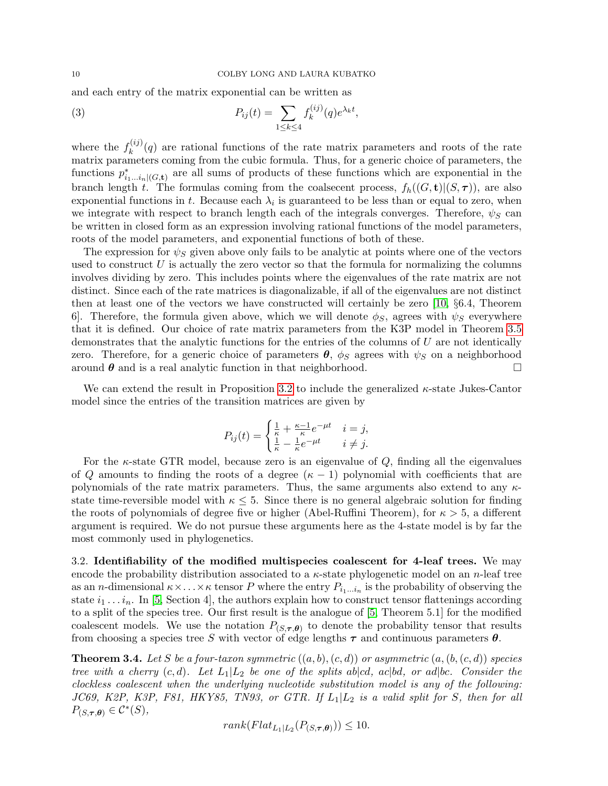and each entry of the matrix exponential can be written as

(3) 
$$
P_{ij}(t) = \sum_{1 \le k \le 4} f_k^{(ij)}(q) e^{\lambda_k t},
$$

where the  $f_k^{(ij)}$  $\kappa_k^{(q)}(q)$  are rational functions of the rate matrix parameters and roots of the rate matrix parameters coming from the cubic formula. Thus, for a generic choice of parameters, the functions  $p_{i_1...i_n|(G,\mathbf{t})}^*$  are all sums of products of these functions which are exponential in the branch length t. The formulas coming from the coalsecent process,  $f_h((G, t)|(S, \tau))$ , are also exponential functions in t. Because each  $\lambda_i$  is guaranteed to be less than or equal to zero, when we integrate with respect to branch length each of the integrals converges. Therefore,  $\psi_S$  can be written in closed form as an expression involving rational functions of the model parameters, roots of the model parameters, and exponential functions of both of these.

The expression for  $\psi_{\mathcal{S}}$  given above only fails to be analytic at points where one of the vectors used to construct  $U$  is actually the zero vector so that the formula for normalizing the columns involves dividing by zero. This includes points where the eigenvalues of the rate matrix are not distinct. Since each of the rate matrices is diagonalizable, if all of the eigenvalues are not distinct then at least one of the vectors we have constructed will certainly be zero [\[10,](#page-16-5) §6.4, Theorem 6. Therefore, the formula given above, which we will denote  $\phi_S$ , agrees with  $\psi_S$  everywhere that it is defined. Our choice of rate matrix parameters from the K3P model in Theorem [3.5](#page-11-0) demonstrates that the analytic functions for the entries of the columns of U are not identically zero. Therefore, for a generic choice of parameters  $\theta$ ,  $\phi_S$  agrees with  $\psi_S$  on a neighborhood around  $\theta$  and is a real analytic function in that neighborhood.

We can extend the result in Proposition [3.2](#page-8-0) to include the generalized  $\kappa$ -state Jukes-Cantor model since the entries of the transition matrices are given by

$$
P_{ij}(t) = \begin{cases} \frac{1}{\kappa} + \frac{\kappa - 1}{\kappa} e^{-\mu t} & i = j, \\ \frac{1}{\kappa} - \frac{1}{\kappa} e^{-\mu t} & i \neq j. \end{cases}
$$

For the  $\kappa$ -state GTR model, because zero is an eigenvalue of Q, finding all the eigenvalues of Q amounts to finding the roots of a degree  $(\kappa - 1)$  polynomial with coefficients that are polynomials of the rate matrix parameters. Thus, the same arguments also extend to any  $\kappa$ state time-reversible model with  $\kappa \leq 5$ . Since there is no general algebraic solution for finding the roots of polynomials of degree five or higher (Abel-Ruffini Theorem), for  $\kappa > 5$ , a different argument is required. We do not pursue these arguments here as the 4-state model is by far the most commonly used in phylogenetics.

3.2. Identifiability of the modified multispecies coalescent for 4-leaf trees. We may encode the probability distribution associated to a  $\kappa$ -state phylogenetic model on an *n*-leaf tree as an *n*-dimensional  $\kappa \times \ldots \times \kappa$  tensor P where the entry  $P_{i_1...i_n}$  is the probability of observing the state  $i_1 \ldots i_n$ . In [\[5,](#page-16-0) Section 4], the authors explain how to construct tensor flattenings according to a split of the species tree. Our first result is the analogue of [\[5,](#page-16-0) Theorem 5.1] for the modified coalescent models. We use the notation  $P_{(S,\tau,\theta)}$  to denote the probability tensor that results from choosing a species tree S with vector of edge lengths  $\tau$  and continuous parameters  $\theta$ .

<span id="page-9-0"></span>**Theorem 3.4.** Let S be a four-taxon symmetric  $((a, b), (c, d))$  or asymmetric  $(a, (b, (c, d))$  species tree with a cherry  $(c, d)$ . Let  $L_1 | L_2$  be one of the splits abodel, acoupled, or adobe. Consider the clockless coalescent when the underlying nucleotide substitution model is any of the following: JC69, K2P, K3P, F81, HKY85, TN93, or GTR. If  $L_1|L_2$  is a valid split for S, then for all  $P_{(S,\tau,\theta)} \in \mathcal{C}^*(S)$ ,

 $rank(Flat_{L_1|L_2}(P_{(S,\tau,\theta)})) \leq 10.$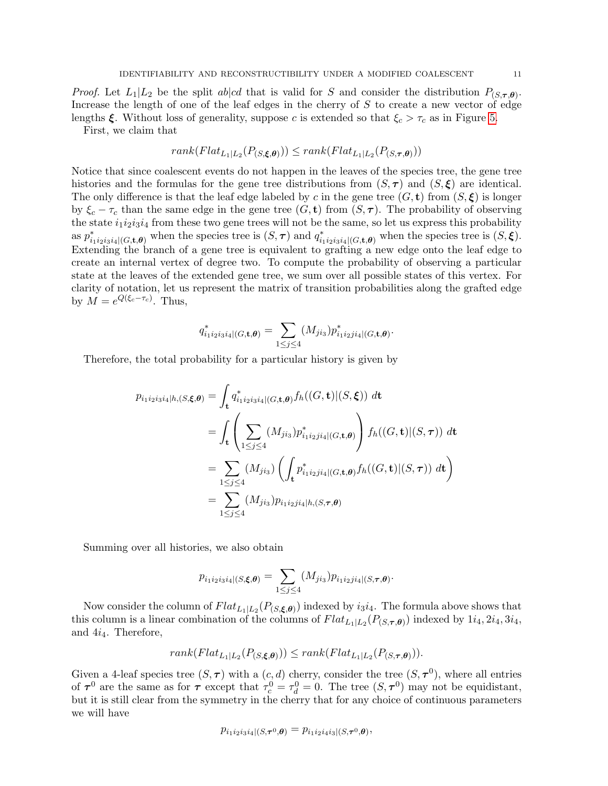*Proof.* Let  $L_1|L_2$  be the split about that is valid for S and consider the distribution  $P_{(S,\tau,\theta)}$ . Increase the length of one of the leaf edges in the cherry of S to create a new vector of edge lengths  $\xi$ . Without loss of generality, suppose c is extended so that  $\xi_c > \tau_c$  as in Figure [5.](#page-12-0)

First, we claim that

$$
rank(Flat_{L_1|L_2}(P_{(S,\xi,\theta)})) \le rank(Flat_{L_1|L_2}(P_{(S,\tau,\theta)}))
$$

Notice that since coalescent events do not happen in the leaves of the species tree, the gene tree histories and the formulas for the gene tree distributions from  $(S, \tau)$  and  $(S, \xi)$  are identical. The only difference is that the leaf edge labeled by c in the gene tree  $(G, t)$  from  $(S, \xi)$  is longer by  $\xi_c - \tau_c$  than the same edge in the gene tree  $(G, t)$  from  $(S, \tau)$ . The probability of observing the state  $i_1i_2i_3i_4$  from these two gene trees will not be the same, so let us express this probability as  $p_{i_1i_2i_3i_4|(G,\mathbf{t},\boldsymbol{\theta})}^*$  when the species tree is  $(S,\boldsymbol{\tau})$  and  $q_{i_1i_2i_3i_4|(G,\mathbf{t},\boldsymbol{\theta})}^*$  when the species tree is  $(S,\boldsymbol{\xi})$ . Extending the branch of a gene tree is equivalent to grafting a new edge onto the leaf edge to create an internal vertex of degree two. To compute the probability of observing a particular state at the leaves of the extended gene tree, we sum over all possible states of this vertex. For clarity of notation, let us represent the matrix of transition probabilities along the grafted edge by  $M = e^{Q(\xi_c - \tau_c)}$ . Thus,

$$
q_{i_1i_2i_3i_4|(G,\mathbf{t},\boldsymbol{\theta})}^* = \sum_{1 \leq j \leq 4} (M_{ji_3}) p_{i_1i_2ji_4|(G,\mathbf{t},\boldsymbol{\theta})}^*.
$$

Therefore, the total probability for a particular history is given by

$$
p_{i_1 i_2 i_3 i_4 | h, (S, \xi, \theta)} = \int_{\mathbf{t}} q_{i_1 i_2 i_3 i_4 | (G, \mathbf{t}, \theta)}^* f_h((G, \mathbf{t}) | (S, \xi)) dt
$$
  
\n
$$
= \int_{\mathbf{t}} \left( \sum_{1 \le j \le 4} (M_{j i_3}) p_{i_1 i_2 j i_4 | (G, \mathbf{t}, \theta)}^* \right) f_h((G, \mathbf{t}) | (S, \tau)) dt
$$
  
\n
$$
= \sum_{1 \le j \le 4} (M_{j i_3}) \left( \int_{\mathbf{t}} p_{i_1 i_2 j i_4 | (G, \mathbf{t}, \theta)}^* f_h((G, \mathbf{t}) | (S, \tau)) dt \right)
$$
  
\n
$$
= \sum_{1 \le j \le 4} (M_{j i_3}) p_{i_1 i_2 j i_4 | h, (S, \tau, \theta)}
$$

Summing over all histories, we also obtain

$$
p_{i_1i_2i_3i_4|(S,\boldsymbol{\xi},\boldsymbol{\theta})} = \sum_{1 \leq j \leq 4} (M_{j i_3}) p_{i_1i_2j i_4|(S,\boldsymbol{\tau},\boldsymbol{\theta})}.
$$

Now consider the column of  $Flat_{L_1|L_2}(P_{(S,\xi,\theta)})$  indexed by  $i_3i_4$ . The formula above shows that this column is a linear combination of the columns of  $Flat_{L_1|L_2}(P_{(S,\tau,\theta)})$  indexed by  $1i_4, 2i_4, 3i_4,$ and 4i4. Therefore,

$$
rank(Flat_{L_1|L_2}(P_{(S,\xi,\theta)})) \le rank(Flat_{L_1|L_2}(P_{(S,\tau,\theta)})).
$$

Given a 4-leaf species tree  $(S, \tau)$  with a  $(c, d)$  cherry, consider the tree  $(S, \tau^0)$ , where all entries of  $\tau^0$  are the same as for  $\tau$  except that  $\tau_c^0 = \tau_d^0 = 0$ . The tree  $(S, \tau^0)$  may not be equidistant, but it is still clear from the symmetry in the cherry that for any choice of continuous parameters we will have

$$
p_{i_1i_2i_3i_4|(S,\boldsymbol{\tau}^0,\boldsymbol{\theta})} = p_{i_1i_2i_4i_3|(S,\boldsymbol{\tau}^0,\boldsymbol{\theta})},
$$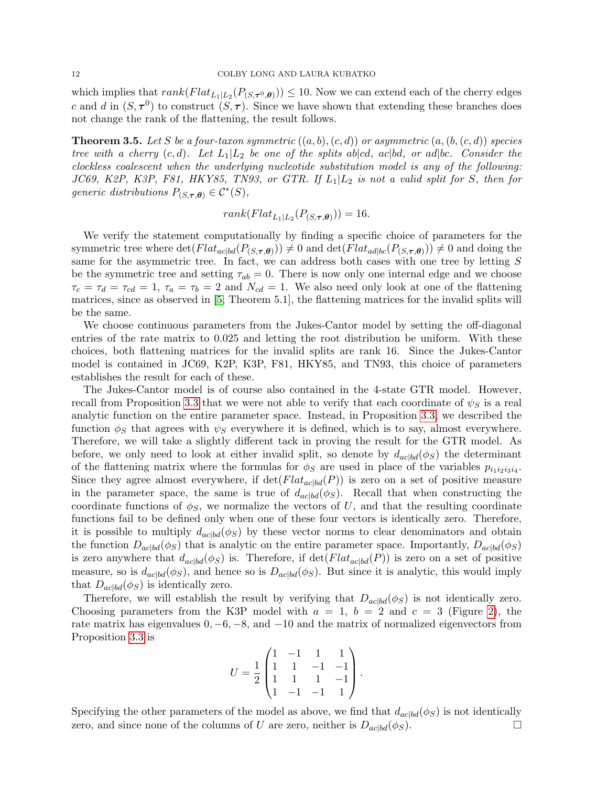which implies that  $rank(Flat_{L_1|L_2}(P_{(S,\tau^0,\theta)})) \leq 10$ . Now we can extend each of the cherry edges c and d in  $(S, \tau^0)$  to construct  $(S, \tau)$ . Since we have shown that extending these branches does not change the rank of the flattening, the result follows.

<span id="page-11-0"></span>**Theorem 3.5.** Let S be a four-taxon symmetric  $((a, b), (c, d))$  or asymmetric  $(a, (b, (c, d))$  species tree with a cherry  $(c, d)$ . Let  $L_1 | L_2$  be one of the splits aboded, acobd, or adobe. Consider the clockless coalescent when the underlying nucleotide substitution model is any of the following: JC69, K2P, K3P, F81, HKY85, TN93, or GTR. If  $L_1|L_2$  is not a valid split for S, then for generic distributions  $P_{(S,\tau,\theta)} \in \mathcal{C}^*(S)$ ,

$$
rank(Flat_{L_1|L_2}(P_{(S,\tau,\theta)})) = 16.
$$

We verify the statement computationally by finding a specific choice of parameters for the symmetric tree where  $\det(Flat_{ac|bd}(P_{(S,\tau,\theta)})) \neq 0$  and  $\det(Flat_{ad|bc}(P_{(S,\tau,\theta)})) \neq 0$  and doing the same for the asymmetric tree. In fact, we can address both cases with one tree by letting S be the symmetric tree and setting  $\tau_{ab} = 0$ . There is now only one internal edge and we choose  $\tau_c = \tau_d = \tau_{cd} = 1$ ,  $\tau_a = \tau_b = 2$  and  $N_{cd} = 1$ . We also need only look at one of the flattening matrices, since as observed in [\[5,](#page-16-0) Theorem 5.1], the flattening matrices for the invalid splits will be the same.

We choose continuous parameters from the Jukes-Cantor model by setting the off-diagonal entries of the rate matrix to 0.025 and letting the root distribution be uniform. With these choices, both flattening matrices for the invalid splits are rank 16. Since the Jukes-Cantor model is contained in JC69, K2P, K3P, F81, HKY85, and TN93, this choice of parameters establishes the result for each of these.

The Jukes-Cantor model is of course also contained in the 4-state GTR model. However, recall from Proposition [3.3](#page-8-1) that we were not able to verify that each coordinate of  $\psi_S$  is a real analytic function on the entire parameter space. Instead, in Proposition [3.3,](#page-8-1) we described the function  $\phi_S$  that agrees with  $\psi_S$  everywhere it is defined, which is to say, almost everywhere. Therefore, we will take a slightly different tack in proving the result for the GTR model. As before, we only need to look at either invalid split, so denote by  $d_{ac|bd}(\phi_S)$  the determinant of the flattening matrix where the formulas for  $\phi_S$  are used in place of the variables  $p_{i_1 i_2 i_3 i_4}$ . Since they agree almost everywhere, if  $\det(Flat_{ac|bd}(P))$  is zero on a set of positive measure in the parameter space, the same is true of  $d_{ac|bd}(\phi_S)$ . Recall that when constructing the coordinate functions of  $\phi_s$ , we normalize the vectors of U, and that the resulting coordinate functions fail to be defined only when one of these four vectors is identically zero. Therefore, it is possible to multiply  $d_{ac|bd}(\phi_S)$  by these vector norms to clear denominators and obtain the function  $D_{ac|bd}(\phi_S)$  that is analytic on the entire parameter space. Importantly,  $D_{ac|bd}(\phi_S)$ is zero anywhere that  $d_{ac|bd}(\phi_S)$  is. Therefore, if  $\det(Flat_{ac|bd}(P))$  is zero on a set of positive measure, so is  $d_{ac|bd}(\phi_S)$ , and hence so is  $D_{ac|bd}(\phi_S)$ . But since it is analytic, this would imply that  $D_{ac|bd}(\phi_S)$  is identically zero.

Therefore, we will establish the result by verifying that  $D_{ac|bd}(\phi_S)$  is not identically zero. Choosing parameters from the K3P model with  $a = 1, b = 2$  and  $c = 3$  (Figure [2\)](#page-4-0), the rate matrix has eigenvalues  $0, -6, -8,$  and  $-10$  and the matrix of normalized eigenvectors from Proposition [3.3](#page-8-1) is

$$
U = \frac{1}{2} \begin{pmatrix} 1 & -1 & 1 & 1 \\ 1 & 1 & -1 & -1 \\ 1 & 1 & 1 & -1 \\ 1 & -1 & -1 & 1 \end{pmatrix}.
$$

Specifying the other parameters of the model as above, we find that  $d_{ac|bd}(\phi_S)$  is not identically zero, and since none of the columns of U are zero, neither is  $D_{ac|bd}(\phi_S)$ .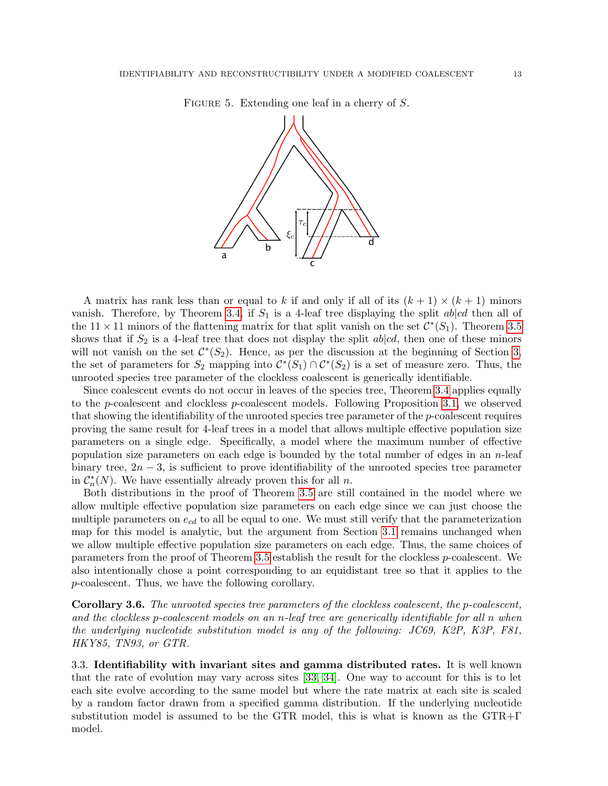

<span id="page-12-0"></span>FIGURE 5. Extending one leaf in a cherry of S.

A matrix has rank less than or equal to k if and only if all of its  $(k + 1) \times (k + 1)$  minors vanish. Therefore, by Theorem [3.4,](#page-9-0) if  $S_1$  is a 4-leaf tree displaying the split ab|cd then all of the 11 × 11 minors of the flattening matrix for that split vanish on the set  $\mathcal{C}^*(S_1)$ . Theorem [3.5](#page-11-0) shows that if  $S_2$  is a 4-leaf tree that does not display the split abled, then one of these minors will not vanish on the set  $\mathcal{C}^*(S_2)$ . Hence, as per the discussion at the beginning of Section [3,](#page-6-0) the set of parameters for  $S_2$  mapping into  $\mathcal{C}^*(S_1) \cap \mathcal{C}^*(S_2)$  is a set of measure zero. Thus, the unrooted species tree parameter of the clockless coalescent is generically identifiable.

Since coalescent events do not occur in leaves of the species tree, Theorem [3.4](#page-9-0) applies equally to the p-coalescent and clockless p-coalescent models. Following Proposition [3.1,](#page-7-1) we observed that showing the identifiability of the unrooted species tree parameter of the p-coalescent requires proving the same result for 4-leaf trees in a model that allows multiple effective population size parameters on a single edge. Specifically, a model where the maximum number of effective population size parameters on each edge is bounded by the total number of edges in an  $n$ -leaf binary tree,  $2n-3$ , is sufficient to prove identifiability of the unrooted species tree parameter in  $C_n^*(N)$ . We have essentially already proven this for all n.

Both distributions in the proof of Theorem [3.5](#page-11-0) are still contained in the model where we allow multiple effective population size parameters on each edge since we can just choose the multiple parameters on  $e_{cd}$  to all be equal to one. We must still verify that the parameterization map for this model is analytic, but the argument from Section [3.1](#page-8-2) remains unchanged when we allow multiple effective population size parameters on each edge. Thus, the same choices of parameters from the proof of Theorem [3.5](#page-11-0) establish the result for the clockless p-coalescent. We also intentionally chose a point corresponding to an equidistant tree so that it applies to the p-coalescent. Thus, we have the following corollary.

Corollary 3.6. The unrooted species tree parameters of the clockless coalescent, the p-coalescent, and the clockless p-coalescent models on an n-leaf tree are generically identifiable for all n when the underlying nucleotide substitution model is any of the following: JC69, K2P, K3P, F81, HKY85, TN93, or GTR.

3.3. Identifiability with invariant sites and gamma distributed rates. It is well known that the rate of evolution may vary across sites [\[33,](#page-17-18) [34\]](#page-17-19). One way to account for this is to let each site evolve according to the same model but where the rate matrix at each site is scaled by a random factor drawn from a specified gamma distribution. If the underlying nucleotide substitution model is assumed to be the GTR model, this is what is known as the  $GTR+\Gamma$ model.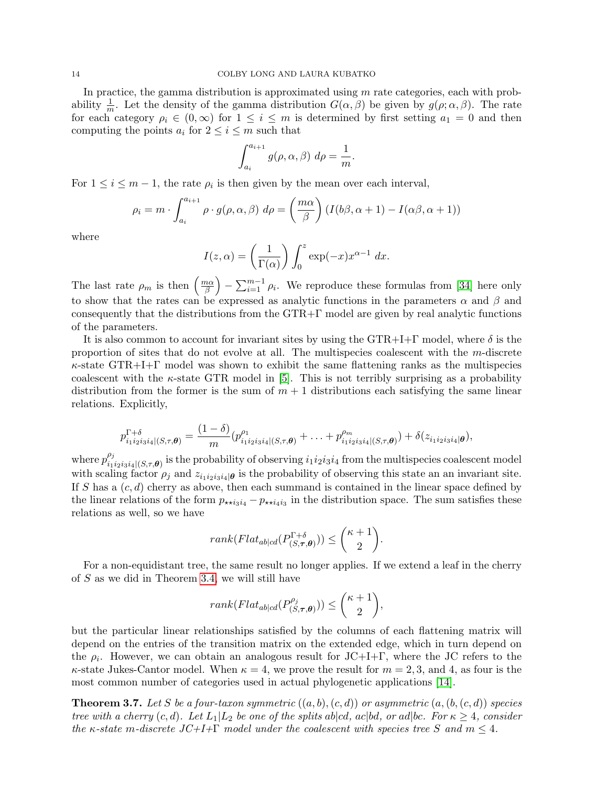In practice, the gamma distribution is approximated using  $m$  rate categories, each with probability  $\frac{1}{m}$ . Let the density of the gamma distribution  $G(\alpha, \beta)$  be given by  $g(\rho; \alpha, \beta)$ . The rate for each category  $\rho_i \in (0,\infty)$  for  $1 \leq i \leq m$  is determined by first setting  $a_1 = 0$  and then computing the points  $a_i$  for  $2 \leq i \leq m$  such that

$$
\int_{a_i}^{a_{i+1}} g(\rho, \alpha, \beta) \ d\rho = \frac{1}{m}
$$

.

For  $1 \leq i \leq m-1$ , the rate  $\rho_i$  is then given by the mean over each interval,

$$
\rho_i = m \cdot \int_{a_i}^{a_{i+1}} \rho \cdot g(\rho, \alpha, \beta) d\rho = \left(\frac{m\alpha}{\beta}\right) \left(I(b\beta, \alpha+1) - I(\alpha\beta, \alpha+1)\right)
$$

where

$$
I(z, \alpha) = \left(\frac{1}{\Gamma(\alpha)}\right) \int_0^z \exp(-x) x^{\alpha - 1} dx.
$$

The last rate  $\rho_m$  is then  $\left(\frac{m\alpha}{\beta}\right)$  $\left(\frac{n\alpha}{\beta}\right) - \sum_{i=1}^{m-1} \rho_i$ . We reproduce these formulas from [\[34\]](#page-17-19) here only to show that the rates can be expressed as analytic functions in the parameters  $\alpha$  and  $\beta$  and consequently that the distributions from the GTR+Γ model are given by real analytic functions of the parameters.

It is also common to account for invariant sites by using the  $GTR+I+\Gamma$  model, where  $\delta$  is the proportion of sites that do not evolve at all. The multispecies coalescent with the m-discrete  $\kappa$ -state GTR+I+Γ model was shown to exhibit the same flattening ranks as the multispecies coalescent with the  $\kappa$ -state GTR model in [\[5\]](#page-16-0). This is not terribly surprising as a probability distribution from the former is the sum of  $m + 1$  distributions each satisfying the same linear relations. Explicitly,

$$
p_{i_1i_2i_3i_4|(S,\tau,\theta)}^{\Gamma+\delta} = \frac{(1-\delta)}{m} (p_{i_1i_2i_3i_4|(S,\tau,\theta)}^{\rho_1} + \ldots + p_{i_1i_2i_3i_4|(S,\tau,\theta)}^{\rho_m}) + \delta(z_{i_1i_2i_3i_4|\theta}),
$$

where  $p_i^{\rho_j}$  $\lim_{i_1i_2i_3i_4|(S,\tau,\theta)}$  is the probability of observing  $i_1i_2i_3i_4$  from the multispecies coalescent model with scaling factor  $\rho_j$  and  $z_{i_1i_2i_3i_4|\theta}$  is the probability of observing this state an an invariant site. If S has a  $(c, d)$  cherry as above, then each summand is contained in the linear space defined by the linear relations of the form  $p_{\star\star i_3i_4} - p_{\star\star i_4i_3}$  in the distribution space. The sum satisfies these relations as well, so we have

$$
rank(Flat_{ab|cd}(P_{(S,\tau,\theta)}^{\Gamma+\delta})) \le {\kappa+1 \choose 2}.
$$

For a non-equidistant tree, the same result no longer applies. If we extend a leaf in the cherry of S as we did in Theorem [3.4,](#page-9-0) we will still have

$$
rank(Flat_{ab|cd}(P^{\rho_j}_{(S,\tau,\theta)})) \leq {\kappa+1 \choose 2},
$$

but the particular linear relationships satisfied by the columns of each flattening matrix will depend on the entries of the transition matrix on the extended edge, which in turn depend on the  $\rho_i$ . However, we can obtain an analogous result for JC+I+Γ, where the JC refers to the  $\kappa$ -state Jukes-Cantor model. When  $\kappa = 4$ , we prove the result for  $m = 2, 3$ , and 4, as four is the most common number of categories used in actual phylogenetic applications [\[14\]](#page-17-20).

**Theorem 3.7.** Let S be a four-taxon symmetric  $((a, b), (c, d))$  or asymmetric  $(a, (b, (c, d))$  species tree with a cherry  $(c, d)$ . Let  $L_1|L_2$  be one of the splits ab|cd, ac|bd, or ad|bc. For  $\kappa \geq 4$ , consider the κ-state m-discrete  $J\mathcal{C}+I+\Gamma$  model under the coalescent with species tree S and  $m \leq 4$ .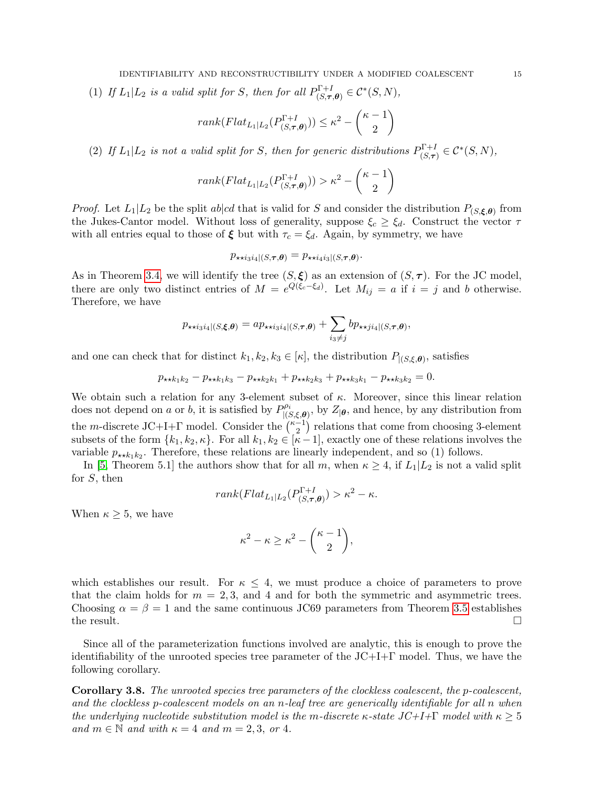(1) If  $L_1|L_2$  is a valid split for S, then for all  $P_{(S,\tau)}^{\Gamma+1}$  $C^{\Gamma+I}_{(S,\tau,\boldsymbol{\theta})} \in \mathcal{C}^*(S,N),$ 

$$
rank(Flat_{L_1|L_2}(P_{(S,\tau,\theta)}^{ \Gamma+I})) \leq \kappa^2 - \binom{\kappa - 1}{2}
$$

(2) If  $L_1|L_2$  is not a valid split for S, then for generic distributions  $P_{S,\tau}^{\Gamma+I}$  $\mathcal{C}^{F+I}_{(S,\boldsymbol{\tau})} \in \mathcal{C}^*(S,N),$ 

$$
rank(Flat_{L_1|L_2}(P_{(S,\tau,\theta)}^{ \Gamma+I})) > \kappa^2 - \binom{\kappa - 1}{2}
$$

*Proof.* Let  $L_1|L_2$  be the split  $ab|cd$  that is valid for S and consider the distribution  $P_{(S,\xi,\theta)}$  from the Jukes-Cantor model. Without loss of generality, suppose  $\xi_c \geq \xi_d$ . Construct the vector  $\tau$ with all entries equal to those of  $\xi$  but with  $\tau_c = \xi_d$ . Again, by symmetry, we have

$$
p_{\star \star i_3 i_4|(S,\tau,\theta)} = p_{\star \star i_4 i_3|(S,\tau,\theta)}.
$$

As in Theorem [3.4,](#page-9-0) we will identify the tree  $(S, \xi)$  as an extension of  $(S, \tau)$ . For the JC model, there are only two distinct entries of  $M = e^{Q(\xi_c - \xi_d)}$ . Let  $M_{ij} = a$  if  $i = j$  and b otherwise. Therefore, we have

$$
p_{\star\star i_3i_4|(S,\xi,\boldsymbol{\theta})} = ap_{\star\star i_3i_4|(S,\boldsymbol{\tau},\boldsymbol{\theta})} + \sum_{i_3\neq j} bp_{\star\star j i_4|(S,\boldsymbol{\tau},\boldsymbol{\theta})},
$$

and one can check that for distinct  $k_1, k_2, k_3 \in [\kappa]$ , the distribution  $P_{(S,\xi,\theta)}$ , satisfies

$$
p_{\star \star k_1 k_2} - p_{\star \star k_1 k_3} - p_{\star \star k_2 k_1} + p_{\star \star k_2 k_3} + p_{\star \star k_3 k_1} - p_{\star \star k_3 k_2} = 0.
$$

We obtain such a relation for any 3-element subset of  $\kappa$ . Moreover, since this linear relation does not depend on a or b, it is satisfied by  $P_{\text{loc}}^{\rho_i}$  $|_{(S,\xi,\theta)}^{\rho_i},$  by  $Z_{|\theta}$ , and hence, by any distribution from the m-discrete JC+I+ $\Gamma$  model. Consider the  $\binom{\kappa-1}{2}$  $\binom{-1}{2}$  relations that come from choosing 3-element subsets of the form  $\{k_1, k_2, \kappa\}$ . For all  $k_1, k_2 \in [\kappa-1]$ , exactly one of these relations involves the variable  $p_{\star \star k_1 k_2}$ . Therefore, these relations are linearly independent, and so (1) follows.

In [\[5,](#page-16-0) Theorem 5.1] the authors show that for all m, when  $\kappa \geq 4$ , if  $L_1/L_2$  is not a valid split for S, then

$$
rank(Flat_{L_1|L_2}(P_{(S,\tau,\theta)}^{\Gamma+I}) > \kappa^2 - \kappa.
$$

When  $\kappa \geq 5$ , we have

$$
\kappa^2 - \kappa \ge \kappa^2 - \binom{\kappa - 1}{2},
$$

which establishes our result. For  $\kappa \leq 4$ , we must produce a choice of parameters to prove that the claim holds for  $m = 2, 3$ , and 4 and for both the symmetric and asymmetric trees. Choosing  $\alpha = \beta = 1$  and the same continuous JC69 parameters from Theorem [3.5](#page-11-0) establishes the result.  $\Box$ 

Since all of the parameterization functions involved are analytic, this is enough to prove the identifiability of the unrooted species tree parameter of the  $J\text{C+I}+\Gamma$  model. Thus, we have the following corollary.

Corollary 3.8. The unrooted species tree parameters of the clockless coalescent, the p-coalescent, and the clockless p-coalescent models on an n-leaf tree are generically identifiable for all n when the underlying nucleotide substitution model is the m-discrete  $\kappa$ -state  $J\mathcal{C}+I+\Gamma$  model with  $\kappa > 5$ and  $m \in \mathbb{N}$  and with  $\kappa = 4$  and  $m = 2, 3,$  or 4.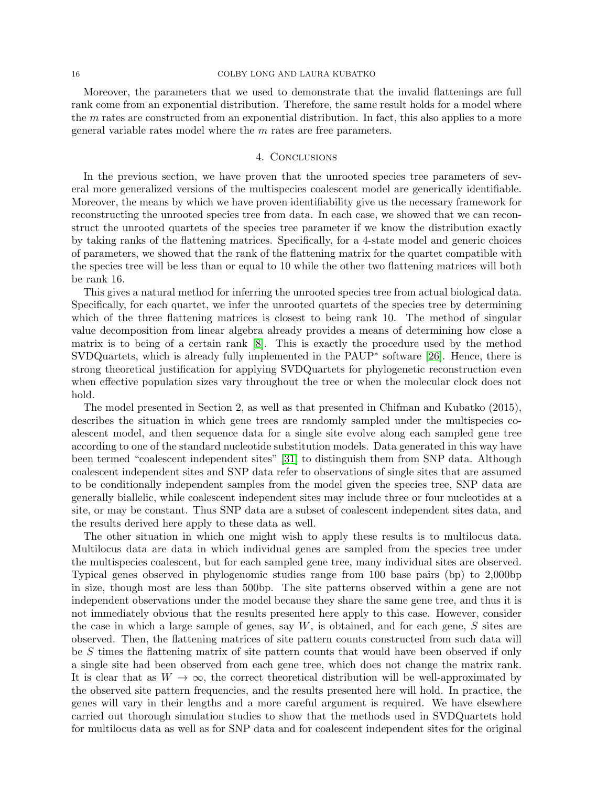### 16 COLBY LONG AND LAURA KUBATKO

Moreover, the parameters that we used to demonstrate that the invalid flattenings are full rank come from an exponential distribution. Therefore, the same result holds for a model where the  $m$  rates are constructed from an exponential distribution. In fact, this also applies to a more general variable rates model where the m rates are free parameters.

## 4. Conclusions

<span id="page-15-0"></span>In the previous section, we have proven that the unrooted species tree parameters of several more generalized versions of the multispecies coalescent model are generically identifiable. Moreover, the means by which we have proven identifiability give us the necessary framework for reconstructing the unrooted species tree from data. In each case, we showed that we can reconstruct the unrooted quartets of the species tree parameter if we know the distribution exactly by taking ranks of the flattening matrices. Specifically, for a 4-state model and generic choices of parameters, we showed that the rank of the flattening matrix for the quartet compatible with the species tree will be less than or equal to 10 while the other two flattening matrices will both be rank 16.

This gives a natural method for inferring the unrooted species tree from actual biological data. Specifically, for each quartet, we infer the unrooted quartets of the species tree by determining which of the three flattening matrices is closest to being rank 10. The method of singular value decomposition from linear algebra already provides a means of determining how close a matrix is to being of a certain rank [\[8\]](#page-16-6). This is exactly the procedure used by the method SVDQuartets, which is already fully implemented in the PAUP<sup>∗</sup> software [\[26\]](#page-17-21). Hence, there is strong theoretical justification for applying SVDQuartets for phylogenetic reconstruction even when effective population sizes vary throughout the tree or when the molecular clock does not hold.

The model presented in Section 2, as well as that presented in Chifman and Kubatko (2015), describes the situation in which gene trees are randomly sampled under the multispecies coalescent model, and then sequence data for a single site evolve along each sampled gene tree according to one of the standard nucleotide substitution models. Data generated in this way have been termed "coalescent independent sites" [\[31\]](#page-17-22) to distinguish them from SNP data. Although coalescent independent sites and SNP data refer to observations of single sites that are assumed to be conditionally independent samples from the model given the species tree, SNP data are generally biallelic, while coalescent independent sites may include three or four nucleotides at a site, or may be constant. Thus SNP data are a subset of coalescent independent sites data, and the results derived here apply to these data as well.

The other situation in which one might wish to apply these results is to multilocus data. Multilocus data are data in which individual genes are sampled from the species tree under the multispecies coalescent, but for each sampled gene tree, many individual sites are observed. Typical genes observed in phylogenomic studies range from 100 base pairs (bp) to 2,000bp in size, though most are less than 500bp. The site patterns observed within a gene are not independent observations under the model because they share the same gene tree, and thus it is not immediately obvious that the results presented here apply to this case. However, consider the case in which a large sample of genes, say  $W$ , is obtained, and for each gene,  $S$  sites are observed. Then, the flattening matrices of site pattern counts constructed from such data will be S times the flattening matrix of site pattern counts that would have been observed if only a single site had been observed from each gene tree, which does not change the matrix rank. It is clear that as  $W \to \infty$ , the correct theoretical distribution will be well-approximated by the observed site pattern frequencies, and the results presented here will hold. In practice, the genes will vary in their lengths and a more careful argument is required. We have elsewhere carried out thorough simulation studies to show that the methods used in SVDQuartets hold for multilocus data as well as for SNP data and for coalescent independent sites for the original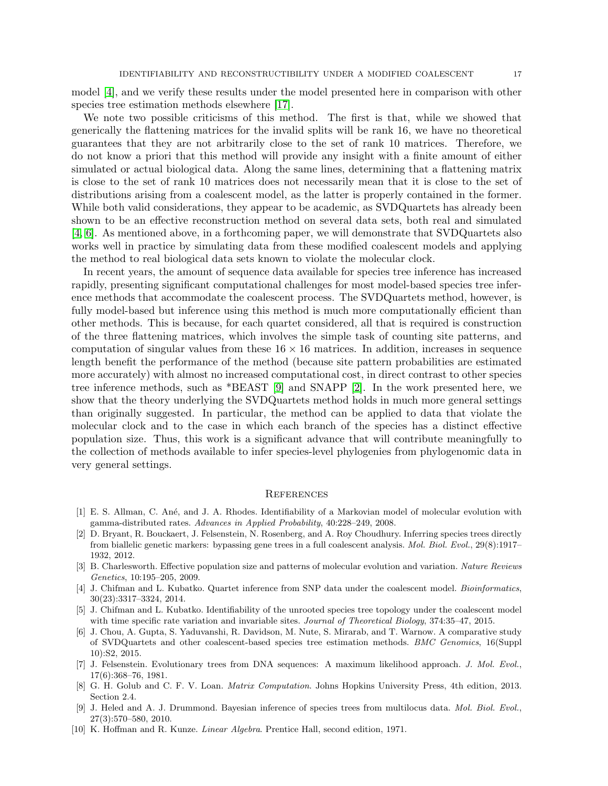model [\[4\]](#page-16-1), and we verify these results under the model presented here in comparison with other species tree estimation methods elsewhere [\[17\]](#page-17-23).

We note two possible criticisms of this method. The first is that, while we showed that generically the flattening matrices for the invalid splits will be rank 16, we have no theoretical guarantees that they are not arbitrarily close to the set of rank 10 matrices. Therefore, we do not know a priori that this method will provide any insight with a finite amount of either simulated or actual biological data. Along the same lines, determining that a flattening matrix is close to the set of rank 10 matrices does not necessarily mean that it is close to the set of distributions arising from a coalescent model, as the latter is properly contained in the former. While both valid considerations, they appear to be academic, as SVDQuartets has already been shown to be an effective reconstruction method on several data sets, both real and simulated [\[4,](#page-16-1) [6\]](#page-16-7). As mentioned above, in a forthcoming paper, we will demonstrate that SVDQuartets also works well in practice by simulating data from these modified coalescent models and applying the method to real biological data sets known to violate the molecular clock.

In recent years, the amount of sequence data available for species tree inference has increased rapidly, presenting significant computational challenges for most model-based species tree inference methods that accommodate the coalescent process. The SVDQuartets method, however, is fully model-based but inference using this method is much more computationally efficient than other methods. This is because, for each quartet considered, all that is required is construction of the three flattening matrices, which involves the simple task of counting site patterns, and computation of singular values from these  $16 \times 16$  matrices. In addition, increases in sequence length benefit the performance of the method (because site pattern probabilities are estimated more accurately) with almost no increased computational cost, in direct contrast to other species tree inference methods, such as \*BEAST [\[9\]](#page-16-8) and SNAPP [\[2\]](#page-16-9). In the work presented here, we show that the theory underlying the SVDQuartets method holds in much more general settings than originally suggested. In particular, the method can be applied to data that violate the molecular clock and to the case in which each branch of the species has a distinct effective population size. Thus, this work is a significant advance that will contribute meaningfully to the collection of methods available to infer species-level phylogenies from phylogenomic data in very general settings.

### **REFERENCES**

- <span id="page-16-4"></span>[1] E. S. Allman, C. Ané, and J. A. Rhodes. Identifiability of a Markovian model of molecular evolution with gamma-distributed rates. Advances in Applied Probability, 40:228–249, 2008.
- <span id="page-16-9"></span>[2] D. Bryant, R. Bouckaert, J. Felsenstein, N. Rosenberg, and A. Roy Choudhury. Inferring species trees directly from biallelic genetic markers: bypassing gene trees in a full coalescent analysis. Mol. Biol. Evol., 29(8):1917– 1932, 2012.
- <span id="page-16-3"></span>[3] B. Charlesworth. Effective population size and patterns of molecular evolution and variation. Nature Reviews Genetics, 10:195–205, 2009.
- <span id="page-16-1"></span>[4] J. Chifman and L. Kubatko. Quartet inference from SNP data under the coalescent model. Bioinformatics, 30(23):3317–3324, 2014.
- <span id="page-16-0"></span>[5] J. Chifman and L. Kubatko. Identifiability of the unrooted species tree topology under the coalescent model with time specific rate variation and invariable sites. Journal of Theoretical Biology, 374:35–47, 2015.
- <span id="page-16-7"></span>[6] J. Chou, A. Gupta, S. Yaduvanshi, R. Davidson, M. Nute, S. Mirarab, and T. Warnow. A comparative study of SVDQuartets and other coalescent-based species tree estimation methods. BMC Genomics, 16(Suppl 10):S2, 2015.
- <span id="page-16-2"></span>[7] J. Felsenstein. Evolutionary trees from DNA sequences: A maximum likelihood approach. J. Mol. Evol., 17(6):368–76, 1981.
- <span id="page-16-6"></span>[8] G. H. Golub and C. F. V. Loan. Matrix Computation. Johns Hopkins University Press, 4th edition, 2013. Section 2.4.
- <span id="page-16-8"></span>[9] J. Heled and A. J. Drummond. Bayesian inference of species trees from multilocus data. Mol. Biol. Evol., 27(3):570–580, 2010.
- <span id="page-16-5"></span>[10] K. Hoffman and R. Kunze. Linear Algebra. Prentice Hall, second edition, 1971.